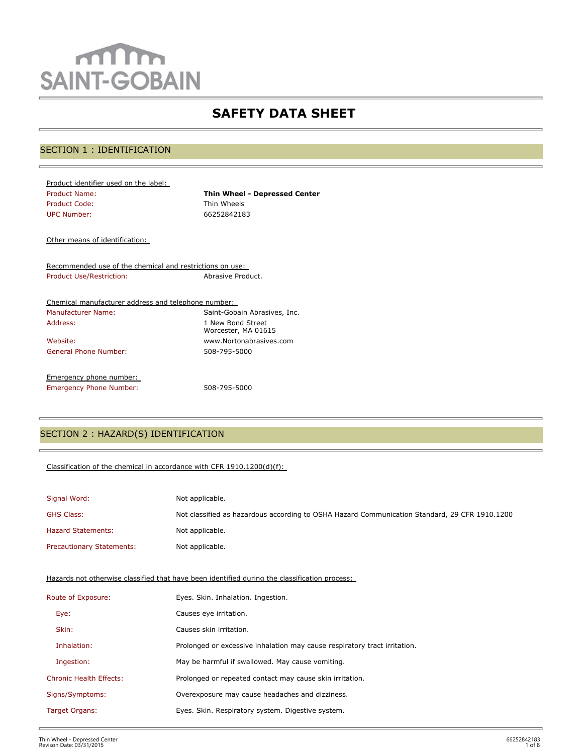# $m$ m **SAINT-GOBAIN**

# **SAFETY DATA SHEET**

# SECTION 1 : IDENTIFICATION

| Product identifier used on the label: |                                      |
|---------------------------------------|--------------------------------------|
| <b>Product Name:</b>                  | <b>Thin Wheel - Depressed Center</b> |
| Product Code:                         | Thin Wheels                          |
| UPC Number:                           | 66252842183                          |

Other means of identification:

Recommended use of the chemical and restrictions on use: Product Use/Restriction: Abrasive Product.

| Chemical manufacturer address and telephone number: |                                          |
|-----------------------------------------------------|------------------------------------------|
| <b>Manufacturer Name:</b>                           | Saint-Gobain Abrasives, Inc.             |
| Address:                                            | 1 New Bond Street<br>Worcester, MA 01615 |
| Website:                                            | www.Nortonabrasives.com                  |
| General Phone Number:                               | 508-795-5000                             |
| Emergency phone number:                             |                                          |
| <b>Emergency Phone Number:</b>                      | 508-795-5000                             |

# SECTION 2 : HAZARD(S) IDENTIFICATION

#### Classification of the chemical in accordance with CFR 1910.1200(d)(f):

| Signal Word:                     | Not applicable.                                                                               |
|----------------------------------|-----------------------------------------------------------------------------------------------|
| <b>GHS Class:</b>                | Not classified as hazardous according to OSHA Hazard Communication Standard, 29 CFR 1910.1200 |
| <b>Hazard Statements:</b>        | Not applicable.                                                                               |
| <b>Precautionary Statements:</b> | Not applicable.                                                                               |

Hazards not otherwise classified that have been identified during the classification process:

| Route of Exposure:             | Eyes. Skin. Inhalation. Ingestion.                                        |
|--------------------------------|---------------------------------------------------------------------------|
| Eye:                           | Causes eye irritation.                                                    |
| Skin:                          | Causes skin irritation.                                                   |
| Inhalation:                    | Prolonged or excessive inhalation may cause respiratory tract irritation. |
| Ingestion:                     | May be harmful if swallowed. May cause vomiting.                          |
| <b>Chronic Health Effects:</b> | Prolonged or repeated contact may cause skin irritation.                  |
| Signs/Symptoms:                | Overexposure may cause headaches and dizziness.                           |
| Target Organs:                 | Eyes. Skin. Respiratory system. Digestive system.                         |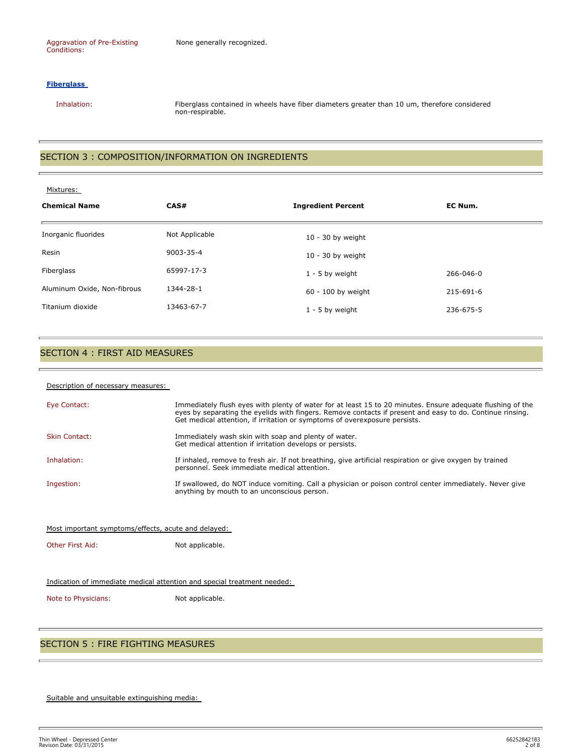# **Fiberglass**

 Inhalation: Fiberglass contained in wheels have fiber diameters greater than 10 um, therefore considered non-respirable.

# SECTION 3 : COMPOSITION/INFORMATION ON INGREDIENTS

Mixtures:

| <b>Chemical Name</b>        | CAS#           | <b>Ingredient Percent</b> | EC Num.   |
|-----------------------------|----------------|---------------------------|-----------|
| Inorganic fluorides         | Not Applicable | $10 - 30$ by weight       |           |
| Resin                       | 9003-35-4      | $10 - 30$ by weight       |           |
| Fiberglass                  | 65997-17-3     | $1 - 5$ by weight         | 266-046-0 |
| Aluminum Oxide, Non-fibrous | 1344-28-1      | 60 - 100 by weight        | 215-691-6 |
| Titanium dioxide            | 13463-67-7     | $1 - 5$ by weight         | 236-675-5 |
|                             |                |                           |           |

### SECTION 4 : FIRST AID MEASURES

#### Description of necessary measures:

| Eye Contact:                                                            | Immediately flush eyes with plenty of water for at least 15 to 20 minutes. Ensure adequate flushing of the<br>eyes by separating the eyelids with fingers. Remove contacts if present and easy to do. Continue rinsing.<br>Get medical attention, if irritation or symptoms of overexposure persists. |  |  |
|-------------------------------------------------------------------------|-------------------------------------------------------------------------------------------------------------------------------------------------------------------------------------------------------------------------------------------------------------------------------------------------------|--|--|
| <b>Skin Contact:</b>                                                    | Immediately wash skin with soap and plenty of water.<br>Get medical attention if irritation develops or persists.                                                                                                                                                                                     |  |  |
| Inhalation:                                                             | If inhaled, remove to fresh air. If not breathing, give artificial respiration or give oxygen by trained<br>personnel. Seek immediate medical attention.                                                                                                                                              |  |  |
| Ingestion:                                                              | If swallowed, do NOT induce vomiting. Call a physician or poison control center immediately. Never give<br>anything by mouth to an unconscious person.                                                                                                                                                |  |  |
|                                                                         |                                                                                                                                                                                                                                                                                                       |  |  |
| Most important symptoms/effects, acute and delayed:                     |                                                                                                                                                                                                                                                                                                       |  |  |
| Other First Aid:                                                        | Not applicable.                                                                                                                                                                                                                                                                                       |  |  |
|                                                                         |                                                                                                                                                                                                                                                                                                       |  |  |
| Indication of immediate medical attention and special treatment needed: |                                                                                                                                                                                                                                                                                                       |  |  |

Note to Physicians: Not applicable.

# SECTION 5 : FIRE FIGHTING MEASURES

Suitable and unsuitable extinguishing media: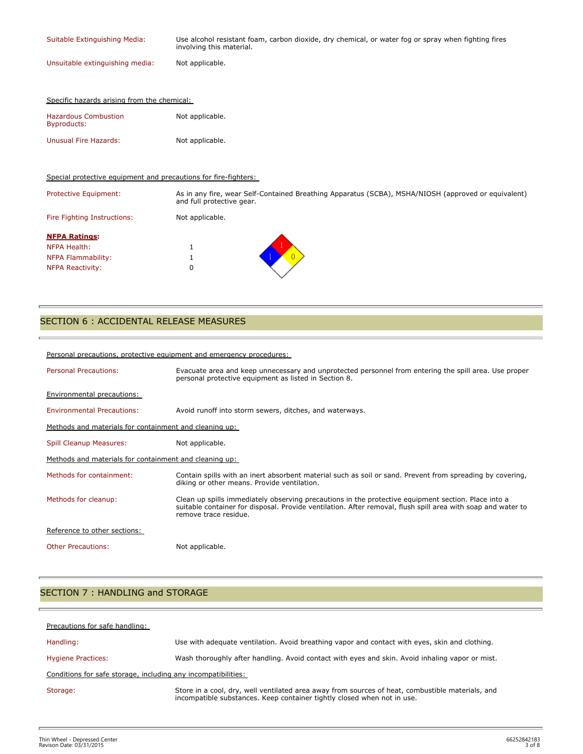| Suitable Extinguishing Media:   | Use alcohol resistant foam, carbon dioxide, dry chemical, or water fog or spray when fighting fires<br>involving this material. |
|---------------------------------|---------------------------------------------------------------------------------------------------------------------------------|
| Unsuitable extinguishing media: | Not applicable.                                                                                                                 |

|  |  | Specific hazards arising from the chemical: |
|--|--|---------------------------------------------|
|  |  |                                             |

| <b>Hazardous Combustion</b><br>Byproducts: | Not applicable. |  |  |
|--------------------------------------------|-----------------|--|--|
| Unusual Fire Hazards:                      | Not applicable. |  |  |

#### Special protective equipment and precautions for fire-fighters:

Protective Equipment: As in any fire, wear Self-Contained Breathing Apparatus (SCBA), MSHA/NIOSH (approved or equivalent) and full protective gear.

Fire Fighting Instructions: Not applicable.

| <b>NFPA Ratings:</b>    |  |
|-------------------------|--|
| NFPA Health:            |  |
| NFPA Flammability:      |  |
| <b>NFPA Reactivity:</b> |  |
|                         |  |

#### SECTION 6 : ACCIDENTAL RELEASE MEASURES

Personal precautions, protective equipment and emergency procedures:

Personal Precautions: Evacuate area and keep unnecessary and unprotected personnel from entering the spill area. Use proper personal protective equipment as listed in Section 8. Environmental precautions: Environmental Precautions: Avoid runoff into storm sewers, ditches, and waterways. Methods and materials for containment and cleaning up: Spill Cleanup Measures: Not applicable. Methods and materials for containment and cleaning up: Methods for containment: Contain spills with an inert absorbent material such as soil or sand. Prevent from spreading by covering, diking or other means. Provide ventilation. Methods for cleanup: Clean up spills immediately observing precautions in the protective equipment section. Place into a suitable container for disposal. Provide ventilation. After removal, flush spill area with soap and water to remove trace residue. Reference to other sections: Other Precautions: Not applicable.

# SECTION 7 : HANDLING and STORAGE

| Precautions for safe handling:                                |                                                                                                                                                                             |  |  |
|---------------------------------------------------------------|-----------------------------------------------------------------------------------------------------------------------------------------------------------------------------|--|--|
| Handling:                                                     | Use with adequate ventilation. Avoid breathing vapor and contact with eyes, skin and clothing.                                                                              |  |  |
| <b>Hygiene Practices:</b>                                     | Wash thoroughly after handling. Avoid contact with eyes and skin. Avoid inhaling vapor or mist.                                                                             |  |  |
| Conditions for safe storage, including any incompatibilities: |                                                                                                                                                                             |  |  |
| Storage:                                                      | Store in a cool, dry, well ventilated area away from sources of heat, combustible materials, and<br>incompatible substances. Keep container tightly closed when not in use. |  |  |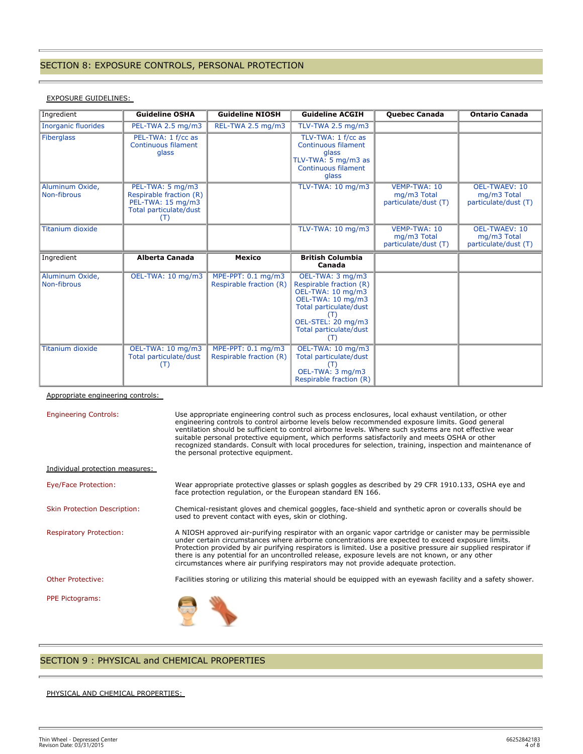### SECTION 8: EXPOSURE CONTROLS, PERSONAL PROTECTION

#### EXPOSURE GUIDELINES:

ċ

| Ingredient                     | <b>Guideline OSHA</b>                                                                             | <b>Guideline NIOSH</b>                        | <b>Guideline ACGIH</b>                                                                                                                                                        | <b>Quebec Canada</b>                                       | <b>Ontario Canada</b>                                       |
|--------------------------------|---------------------------------------------------------------------------------------------------|-----------------------------------------------|-------------------------------------------------------------------------------------------------------------------------------------------------------------------------------|------------------------------------------------------------|-------------------------------------------------------------|
| <b>Inorganic fluorides</b>     | PEL-TWA 2.5 mg/m3                                                                                 | REL-TWA 2.5 mg/m3                             | TLV-TWA 2.5 mg/m3                                                                                                                                                             |                                                            |                                                             |
| <b>Fiberglass</b>              | PEL-TWA: 1 f/cc as<br>Continuous filament<br>glass                                                |                                               | TLV-TWA: 1 f/cc as<br>Continuous filament<br>glass<br>TLV-TWA: 5 mg/m3 as<br>Continuous filament<br>glass                                                                     |                                                            |                                                             |
| Aluminum Oxide,<br>Non-fibrous | PEL-TWA: 5 mg/m3<br>Respirable fraction (R)<br>PEL-TWA: 15 mg/m3<br>Total particulate/dust<br>(T) |                                               | TLV-TWA: 10 mg/m3                                                                                                                                                             | <b>VEMP-TWA: 10</b><br>mg/m3 Total<br>particulate/dust (T) | OEL-TWAEV: 10<br>mg/m3 Total<br>particulate/dust (T)        |
| <b>Titanium dioxide</b>        |                                                                                                   |                                               | TLV-TWA: 10 mg/m3                                                                                                                                                             | <b>VEMP-TWA: 10</b><br>mg/m3 Total<br>particulate/dust (T) | <b>OEL-TWAEV: 10</b><br>mg/m3 Total<br>particulate/dust (T) |
| Ingredient                     | <b>Alberta Canada</b>                                                                             | Mexico                                        | <b>British Columbia</b><br>Canada                                                                                                                                             |                                                            |                                                             |
| Aluminum Oxide,<br>Non-fibrous | OEL-TWA: 10 mg/m3                                                                                 | MPE-PPT: 0.1 mg/m3<br>Respirable fraction (R) | OEL-TWA: 3 mg/m3<br>Respirable fraction (R)<br>OEL-TWA: 10 mg/m3<br>OEL-TWA: 10 mg/m3<br>Total particulate/dust<br>(T)<br>OEL-STEL: 20 mg/m3<br>Total particulate/dust<br>(T) |                                                            |                                                             |
| <b>Titanium dioxide</b>        | OEL-TWA: 10 mg/m3<br>Total particulate/dust<br>(T)                                                | MPE-PPT: 0.1 mg/m3<br>Respirable fraction (R) | OEL-TWA: 10 mg/m3<br>Total particulate/dust<br>(T)<br>OEL-TWA: 3 mg/m3<br>Respirable fraction (R)                                                                             |                                                            |                                                             |

Appropriate engineering controls:

| <b>Engineering Controls:</b>        | Use appropriate engineering control such as process enclosures, local exhaust ventilation, or other<br>engineering controls to control airborne levels below recommended exposure limits. Good general<br>ventilation should be sufficient to control airborne levels. Where such systems are not effective wear<br>suitable personal protective equipment, which performs satisfactorily and meets OSHA or other<br>recognized standards. Consult with local procedures for selection, training, inspection and maintenance of<br>the personal protective equipment. |
|-------------------------------------|-----------------------------------------------------------------------------------------------------------------------------------------------------------------------------------------------------------------------------------------------------------------------------------------------------------------------------------------------------------------------------------------------------------------------------------------------------------------------------------------------------------------------------------------------------------------------|
| Individual protection measures:     |                                                                                                                                                                                                                                                                                                                                                                                                                                                                                                                                                                       |
| Eye/Face Protection:                | Wear appropriate protective glasses or splash goggles as described by 29 CFR 1910.133, OSHA eye and<br>face protection regulation, or the European standard EN 166.                                                                                                                                                                                                                                                                                                                                                                                                   |
| <b>Skin Protection Description:</b> | Chemical-resistant gloves and chemical goggles, face-shield and synthetic apron or coveralls should be<br>used to prevent contact with eyes, skin or clothing.                                                                                                                                                                                                                                                                                                                                                                                                        |
| <b>Respiratory Protection:</b>      | A NIOSH approved air-purifying respirator with an organic vapor cartridge or canister may be permissible<br>under certain circumstances where airborne concentrations are expected to exceed exposure limits.<br>Protection provided by air purifying respirators is limited. Use a positive pressure air supplied respirator if<br>there is any potential for an uncontrolled release, exposure levels are not known, or any other<br>circumstances where air purifying respirators may not provide adequate protection.                                             |
| <b>Other Protective:</b>            | Facilities storing or utilizing this material should be equipped with an eyewash facility and a safety shower.                                                                                                                                                                                                                                                                                                                                                                                                                                                        |
| <b>PPE Pictograms:</b>              |                                                                                                                                                                                                                                                                                                                                                                                                                                                                                                                                                                       |

# SECTION 9 : PHYSICAL and CHEMICAL PROPERTIES

PHYSICAL AND CHEMICAL PROPERTIES:

Þ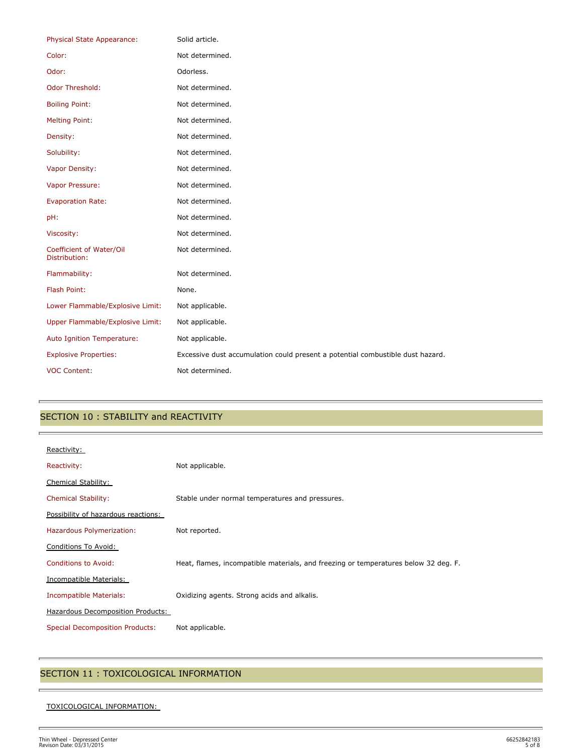| Solid article.                                                                 |
|--------------------------------------------------------------------------------|
| Not determined.                                                                |
| Odorless.                                                                      |
| Not determined.                                                                |
| Not determined.                                                                |
| Not determined.                                                                |
| Not determined.                                                                |
| Not determined.                                                                |
| Not determined.                                                                |
| Not determined.                                                                |
| Not determined.                                                                |
| Not determined.                                                                |
| Not determined.                                                                |
| Not determined.                                                                |
| Not determined.                                                                |
| None.                                                                          |
| Not applicable.                                                                |
| Not applicable.                                                                |
| Not applicable.                                                                |
| Excessive dust accumulation could present a potential combustible dust hazard. |
| Not determined.                                                                |
|                                                                                |

# SECTION 10 : STABILITY and REACTIVITY

Ė

| Reactivity:                            |                                                                                     |
|----------------------------------------|-------------------------------------------------------------------------------------|
| Reactivity:                            | Not applicable.                                                                     |
| <b>Chemical Stability:</b>             |                                                                                     |
| <b>Chemical Stability:</b>             | Stable under normal temperatures and pressures.                                     |
| Possibility of hazardous reactions:    |                                                                                     |
| Hazardous Polymerization:              | Not reported.                                                                       |
| Conditions To Avoid:                   |                                                                                     |
| <b>Conditions to Avoid:</b>            | Heat, flames, incompatible materials, and freezing or temperatures below 32 deg. F. |
| Incompatible Materials:                |                                                                                     |
| <b>Incompatible Materials:</b>         | Oxidizing agents. Strong acids and alkalis.                                         |
| Hazardous Decomposition Products:      |                                                                                     |
| <b>Special Decomposition Products:</b> | Not applicable.                                                                     |

# SECTION 11 : TOXICOLOGICAL INFORMATION

#### TOXICOLOGICAL INFORMATION:

Ē.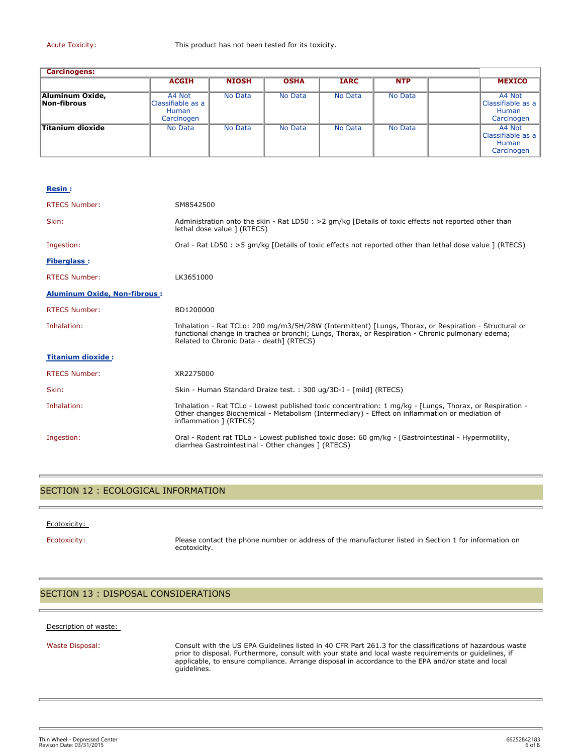| <b>Carcinogens:</b>            |                                                    |              |                |             |                |                                                           |
|--------------------------------|----------------------------------------------------|--------------|----------------|-------------|----------------|-----------------------------------------------------------|
|                                | <b>ACGIH</b>                                       | <b>NIOSH</b> | <b>OSHA</b>    | <b>IARC</b> | <b>NTP</b>     | <b>MEXICO</b>                                             |
| Aluminum Oxide,<br>Non-fibrous | A4 Not<br>Classifiable as a<br>Human<br>Carcinogen | No Data      | No Data        | No Data     | No Data        | A4 Not<br>Classifiable as a<br><b>Human</b><br>Carcinogen |
| <b>Titanium dioxide</b>        | No Data                                            | No Data      | <b>No Data</b> | No Data     | <b>No Data</b> | A4 Not<br>Classifiable as a<br>Human<br>Carcinogen        |

#### **Resin :**

| <b>RTECS Number:</b>                | SM8542500                                                                                                                                                                                                                                              |
|-------------------------------------|--------------------------------------------------------------------------------------------------------------------------------------------------------------------------------------------------------------------------------------------------------|
| Skin:                               | Administration onto the skin - Rat LD50 : >2 qm/kg [Details of toxic effects not reported other than<br>lethal dose value ] (RTECS)                                                                                                                    |
| Ingestion:                          | Oral - Rat LD50 : >5 qm/kg [Details of toxic effects not reported other than lethal dose value ] (RTECS)                                                                                                                                               |
| <b>Fiberglass:</b>                  |                                                                                                                                                                                                                                                        |
| <b>RTECS Number:</b>                | LK3651000                                                                                                                                                                                                                                              |
| <b>Aluminum Oxide, Non-fibrous:</b> |                                                                                                                                                                                                                                                        |
| <b>RTECS Number:</b>                | BD1200000                                                                                                                                                                                                                                              |
| Inhalation:                         | Inhalation - Rat TCLo: 200 mg/m3/5H/28W (Intermittent) [Lungs, Thorax, or Respiration - Structural or<br>functional change in trachea or bronchi; Lungs, Thorax, or Respiration - Chronic pulmonary edema;<br>Related to Chronic Data - death] (RTECS) |
| <b>Titanium dioxide:</b>            |                                                                                                                                                                                                                                                        |
| <b>RTECS Number:</b>                | XR2275000                                                                                                                                                                                                                                              |
| Skin:                               | Skin - Human Standard Draize test. : 300 ug/3D-I - [mild] (RTECS)                                                                                                                                                                                      |
| Inhalation:                         | Inhalation - Rat TCLo - Lowest published toxic concentration: 1 mg/kg - [Lungs, Thorax, or Respiration -<br>Other changes Biochemical - Metabolism (Intermediary) - Effect on inflammation or mediation of<br>inflammation ] (RTECS)                   |
| Ingestion:                          | Oral - Rodent rat TDLo - Lowest published toxic dose: 60 qm/kq - [Gastrointestinal - Hypermotility,<br>diarrhea Gastrointestinal - Other changes 1 (RTECS)                                                                                             |

### SECTION 12 : ECOLOGICAL INFORMATION

#### Ecotoxicity:

Ė

Ecotoxicity: Please contact the phone number or address of the manufacturer listed in Section 1 for information on ecotoxicity.

#### SECTION 13 : DISPOSAL CONSIDERATIONS

#### Description of waste:

Waste Disposal: Consult with the US EPA Guidelines listed in 40 CFR Part 261.3 for the classifications of hazardous waste prior to disposal. Furthermore, consult with your state and local waste requirements or guidelines, if applicable, to ensure compliance. Arrange disposal in accordance to the EPA and/or state and local guidelines.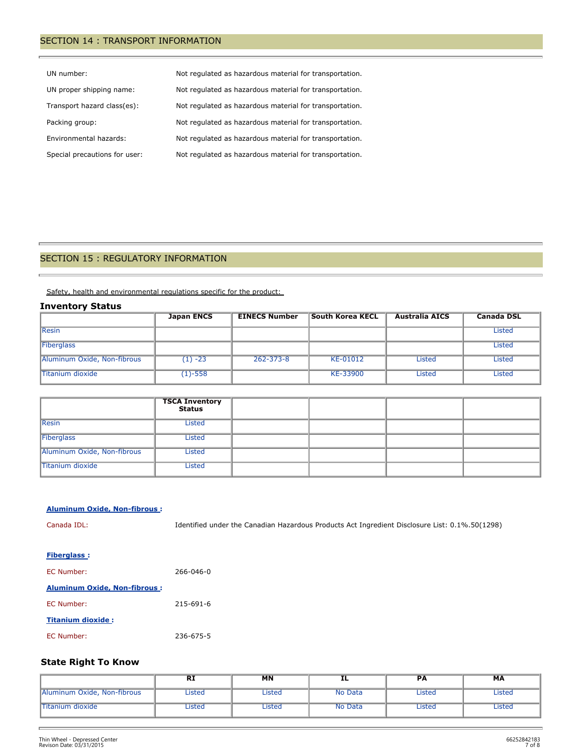#### SECTION 14 : TRANSPORT INFORMATION

| UN number:                    | Not requlated as hazardous material for transportation. |
|-------------------------------|---------------------------------------------------------|
| UN proper shipping name:      | Not regulated as hazardous material for transportation. |
| Transport hazard class(es):   | Not regulated as hazardous material for transportation. |
| Packing group:                | Not regulated as hazardous material for transportation. |
| Environmental hazards:        | Not requlated as hazardous material for transportation. |
| Special precautions for user: | Not regulated as hazardous material for transportation. |

#### SECTION 15 : REGULATORY INFORMATION

H

Safety, health and environmental regulations specific for the product:

| <b>Inventory Status</b>     |                   |                      |                         |                       |                   |
|-----------------------------|-------------------|----------------------|-------------------------|-----------------------|-------------------|
|                             | <b>Japan ENCS</b> | <b>EINECS Number</b> | <b>South Korea KECL</b> | <b>Australia AICS</b> | <b>Canada DSL</b> |
| Resin                       |                   |                      |                         |                       | Listed            |
| Fiberglass                  |                   |                      |                         |                       | Listed            |
| Aluminum Oxide, Non-fibrous | $(1) -23$         | $262 - 373 - 8$      | KE-01012                | <b>Listed</b>         | <b>Listed</b>     |
| <b>Titanium dioxide</b>     | $(1) - 558$       |                      | KE-33900                | <b>Listed</b>         | <b>Listed</b>     |

|                             | <b>TSCA Inventory</b><br>Status |  |  |
|-----------------------------|---------------------------------|--|--|
| Resin                       | Listed                          |  |  |
| Fiberglass                  | Listed                          |  |  |
| Aluminum Oxide, Non-fibrous | Listed                          |  |  |
| Titanium dioxide            | Listed                          |  |  |

| <b>Aluminum Oxide, Non-fibrous:</b> |                                                                                                |
|-------------------------------------|------------------------------------------------------------------------------------------------|
| Canada IDL:                         | Identified under the Canadian Hazardous Products Act Ingredient Disclosure List: 0.1%.50(1298) |
|                                     |                                                                                                |
| <b>Fiberglass:</b>                  |                                                                                                |
| EC Number:                          | 266-046-0                                                                                      |
| <b>Aluminum Oxide, Non-fibrous:</b> |                                                                                                |
| EC Number:                          | 215-691-6                                                                                      |
| <b>Titanium dioxide:</b>            |                                                                                                |
| EC Number:                          | 236-675-5                                                                                      |
|                                     |                                                                                                |

# **State Right To Know**

|                             | RI     | <b>MN</b> |         | PА     | МA     |
|-----------------------------|--------|-----------|---------|--------|--------|
| Aluminum Oxide, Non-fibrous | Listed | Listed    | No Data | Listed | Listed |
| Titanium dioxide            | Listed | Listed    | No Data | ∟isted | Listed |